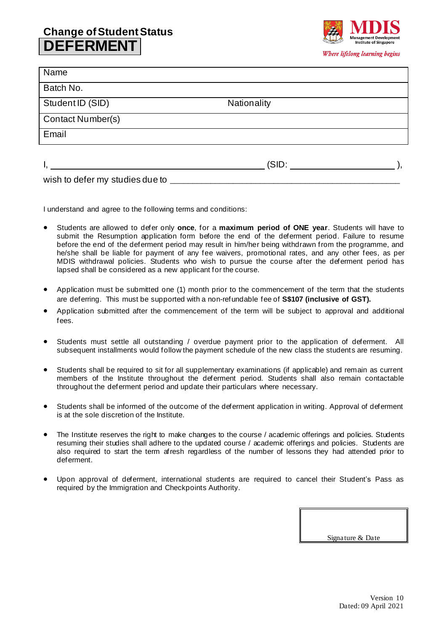## **Change of Student Status DEFERMENT**



| Name                     |             |  |
|--------------------------|-------------|--|
| Batch No.                |             |  |
| Student ID (SID)         | Nationality |  |
| <b>Contact Number(s)</b> |             |  |
| Email                    |             |  |
|                          |             |  |
|                          | (SID:       |  |

wish to defer my studies due to

I understand and agree to the following terms and conditions:

- Students are allowed to defer only **once**, for a **maximum period of ONE year**. Students will have to submit the Resumption application form before the end of the deferment period. Failure to resume before the end of the deferment period may result in him/her being withdrawn from the programme, and he/she shall be liable for payment of any fee waivers, promotional rates, and any other fees, as per MDIS withdrawal policies. Students who wish to pursue the course after the deferment period has lapsed shall be considered as a new applicant for the course.
- Application must be submitted one (1) month prior to the commencement of the term that the students are deferring. This must be supported with a non-refundable fee of **S\$107 (inclusive of GST).**
- Application submitted after the commencement of the term will be subject to approval and additional fees.
- Students must settle all outstanding / overdue payment prior to the application of deferment. All subsequent installments would follow the payment schedule of the new class the students are resuming.
- Students shall be required to sit for all supplementary examinations (if applicable) and remain as current members of the Institute throughout the deferment period. Students shall also remain contactable throughout the deferment period and update their particulars where necessary.
- Students shall be informed of the outcome of the deferment application in writing. Approval of deferment is at the sole discretion of the Institute.
- The Institute reserves the right to make changes to the course / academic offerings and policies. Students resuming their studies shall adhere to the updated course / academic offerings and policies. Students are also required to start the term afresh regardless of the number of lessons they had attended prior to deferment.
- Upon approval of deferment, international students are required to cancel their Student's Pass as required by the Immigration and Checkpoints Authority.